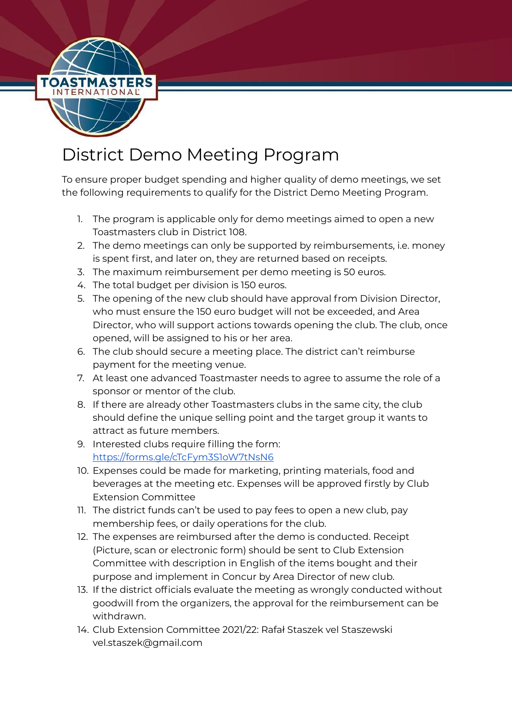

## District Demo Meeting Program

To ensure proper budget spending and higher quality of demo meetings, we set the following requirements to qualify for the District Demo Meeting Program.

- 1. The program is applicable only for demo meetings aimed to open a new Toastmasters club in District 108.
- 2. The demo meetings can only be supported by reimbursements, i.e. money is spent first, and later on, they are returned based on receipts.
- 3. The maximum reimbursement per demo meeting is 50 euros.
- 4. The total budget per division is 150 euros.
- 5. The opening of the new club should have approval from Division Director, who must ensure the 150 euro budget will not be exceeded, and Area Director, who will support actions towards opening the club. The club, once opened, will be assigned to his or her area.
- 6. The club should secure a meeting place. The district can't reimburse payment for the meeting venue.
- 7. At least one advanced Toastmaster needs to agree to assume the role of a sponsor or mentor of the club.
- 8. If there are already other Toastmasters clubs in the same city, the club should define the unique selling point and the target group it wants to attract as future members.
- 9. Interested clubs require filling the form: <https://forms.gle/cTcFym3S1oW7tNsN6>
- 10. Expenses could be made for marketing, printing materials, food and beverages at the meeting etc. Expenses will be approved firstly by Club Extension Committee
- 11. The district funds can't be used to pay fees to open a new club, pay membership fees, or daily operations for the club.
- 12. The expenses are reimbursed after the demo is conducted. Receipt (Picture, scan or electronic form) should be sent to Club Extension Committee with description in English of the items bought and their purpose and implement in Concur by Area Director of new club.
- 13. If the district officials evaluate the meeting as wrongly conducted without goodwill from the organizers, the approval for the reimbursement can be withdrawn.
- 14. Club Extension Committee 2021/22: Rafał Staszek vel Staszewski vel.staszek@gmail.com